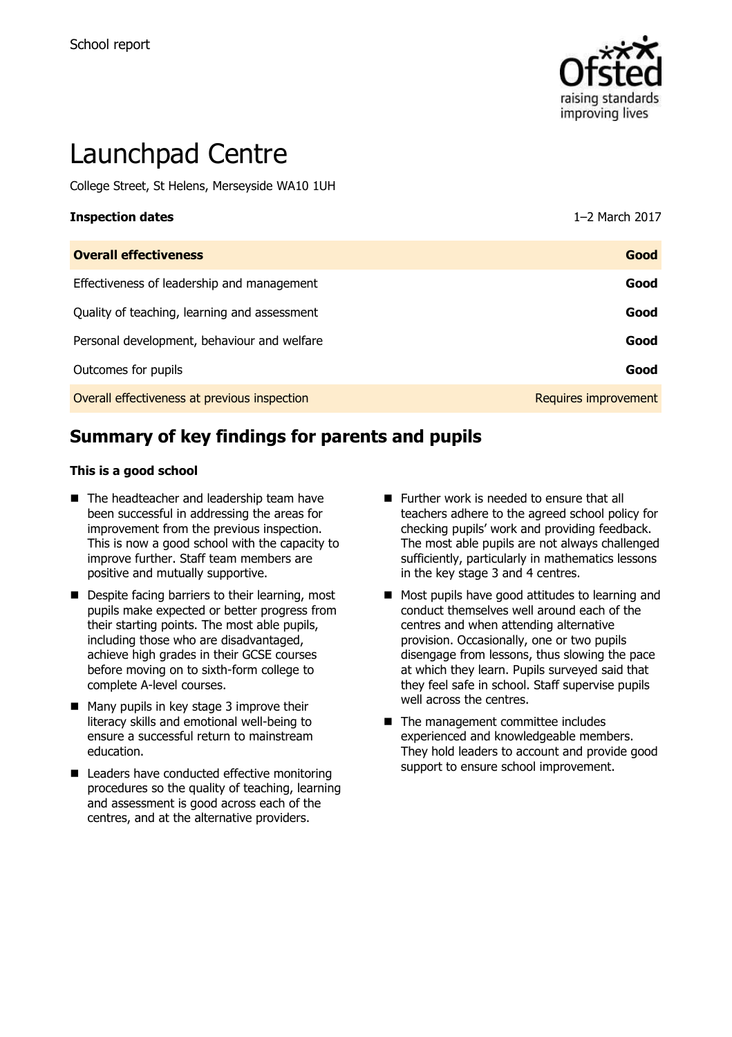

# Launchpad Centre

College Street, St Helens, Merseyside WA10 1UH

| <b>Inspection dates</b>                      | 1-2 March 2017       |
|----------------------------------------------|----------------------|
| <b>Overall effectiveness</b>                 | Good                 |
| Effectiveness of leadership and management   | Good                 |
| Quality of teaching, learning and assessment | Good                 |
| Personal development, behaviour and welfare  | Good                 |
| Outcomes for pupils                          | Good                 |
| Overall effectiveness at previous inspection | Requires improvement |

# **Summary of key findings for parents and pupils**

#### **This is a good school**

- The headteacher and leadership team have been successful in addressing the areas for improvement from the previous inspection. This is now a good school with the capacity to improve further. Staff team members are positive and mutually supportive.
- Despite facing barriers to their learning, most pupils make expected or better progress from their starting points. The most able pupils, including those who are disadvantaged, achieve high grades in their GCSE courses before moving on to sixth-form college to complete A-level courses.
- $\blacksquare$  Many pupils in key stage 3 improve their literacy skills and emotional well-being to ensure a successful return to mainstream education.
- Leaders have conducted effective monitoring procedures so the quality of teaching, learning and assessment is good across each of the centres, and at the alternative providers.
- **Further work is needed to ensure that all** teachers adhere to the agreed school policy for checking pupils' work and providing feedback. The most able pupils are not always challenged sufficiently, particularly in mathematics lessons in the key stage 3 and 4 centres.
- Most pupils have good attitudes to learning and conduct themselves well around each of the centres and when attending alternative provision. Occasionally, one or two pupils disengage from lessons, thus slowing the pace at which they learn. Pupils surveyed said that they feel safe in school. Staff supervise pupils well across the centres.
- The management committee includes experienced and knowledgeable members. They hold leaders to account and provide good support to ensure school improvement.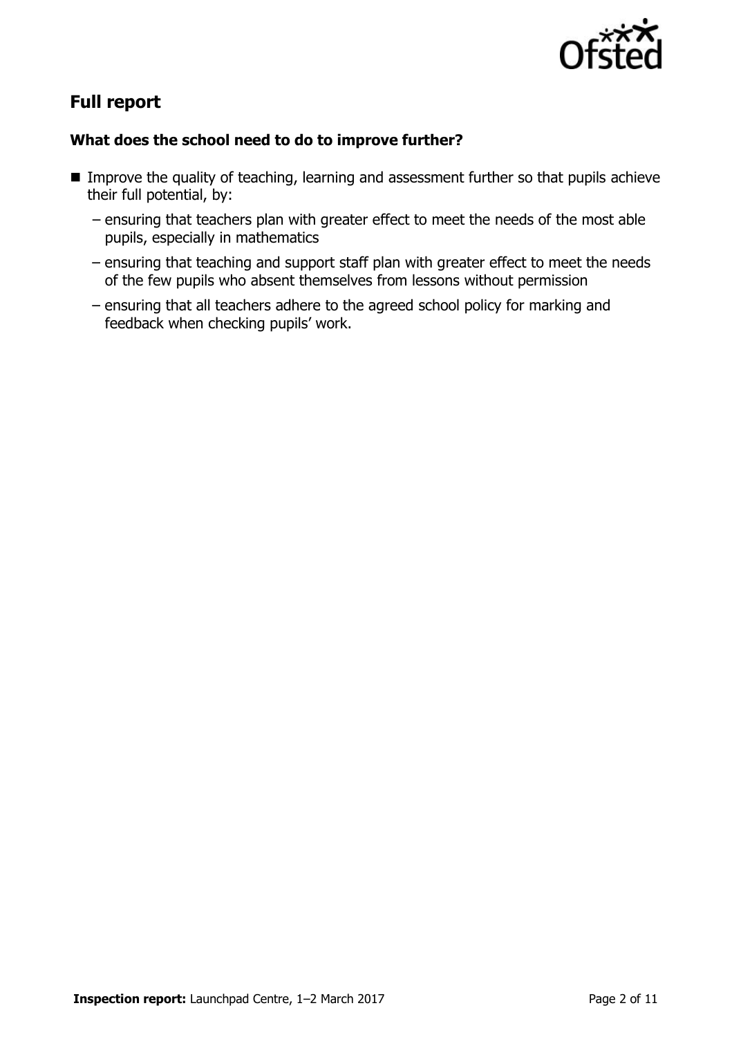

# **Full report**

## **What does the school need to do to improve further?**

- Improve the quality of teaching, learning and assessment further so that pupils achieve their full potential, by:
	- ensuring that teachers plan with greater effect to meet the needs of the most able pupils, especially in mathematics
	- ensuring that teaching and support staff plan with greater effect to meet the needs of the few pupils who absent themselves from lessons without permission
	- ensuring that all teachers adhere to the agreed school policy for marking and feedback when checking pupils' work.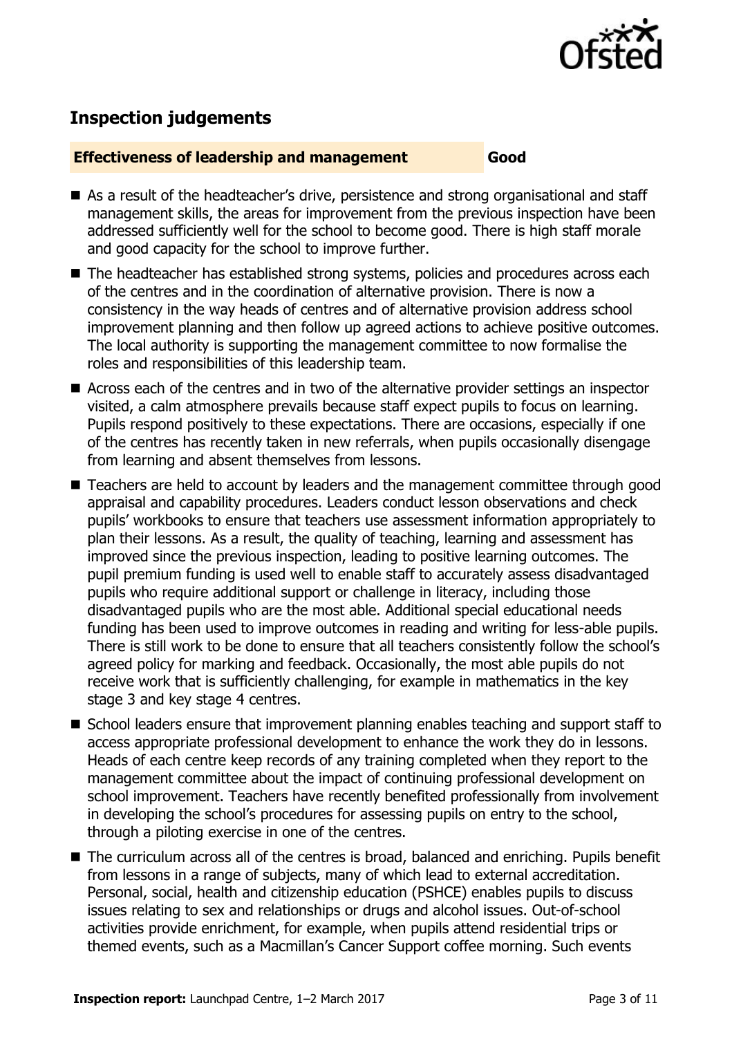

# **Inspection judgements**

#### **Effectiveness of leadership and management Good**

- As a result of the headteacher's drive, persistence and strong organisational and staff management skills, the areas for improvement from the previous inspection have been addressed sufficiently well for the school to become good. There is high staff morale and good capacity for the school to improve further.
- The headteacher has established strong systems, policies and procedures across each of the centres and in the coordination of alternative provision. There is now a consistency in the way heads of centres and of alternative provision address school improvement planning and then follow up agreed actions to achieve positive outcomes. The local authority is supporting the management committee to now formalise the roles and responsibilities of this leadership team.
- Across each of the centres and in two of the alternative provider settings an inspector visited, a calm atmosphere prevails because staff expect pupils to focus on learning. Pupils respond positively to these expectations. There are occasions, especially if one of the centres has recently taken in new referrals, when pupils occasionally disengage from learning and absent themselves from lessons.
- Teachers are held to account by leaders and the management committee through good appraisal and capability procedures. Leaders conduct lesson observations and check pupils' workbooks to ensure that teachers use assessment information appropriately to plan their lessons. As a result, the quality of teaching, learning and assessment has improved since the previous inspection, leading to positive learning outcomes. The pupil premium funding is used well to enable staff to accurately assess disadvantaged pupils who require additional support or challenge in literacy, including those disadvantaged pupils who are the most able. Additional special educational needs funding has been used to improve outcomes in reading and writing for less-able pupils. There is still work to be done to ensure that all teachers consistently follow the school's agreed policy for marking and feedback. Occasionally, the most able pupils do not receive work that is sufficiently challenging, for example in mathematics in the key stage 3 and key stage 4 centres.
- School leaders ensure that improvement planning enables teaching and support staff to access appropriate professional development to enhance the work they do in lessons. Heads of each centre keep records of any training completed when they report to the management committee about the impact of continuing professional development on school improvement. Teachers have recently benefited professionally from involvement in developing the school's procedures for assessing pupils on entry to the school, through a piloting exercise in one of the centres.
- The curriculum across all of the centres is broad, balanced and enriching. Pupils benefit from lessons in a range of subjects, many of which lead to external accreditation. Personal, social, health and citizenship education (PSHCE) enables pupils to discuss issues relating to sex and relationships or drugs and alcohol issues. Out-of-school activities provide enrichment, for example, when pupils attend residential trips or themed events, such as a Macmillan's Cancer Support coffee morning. Such events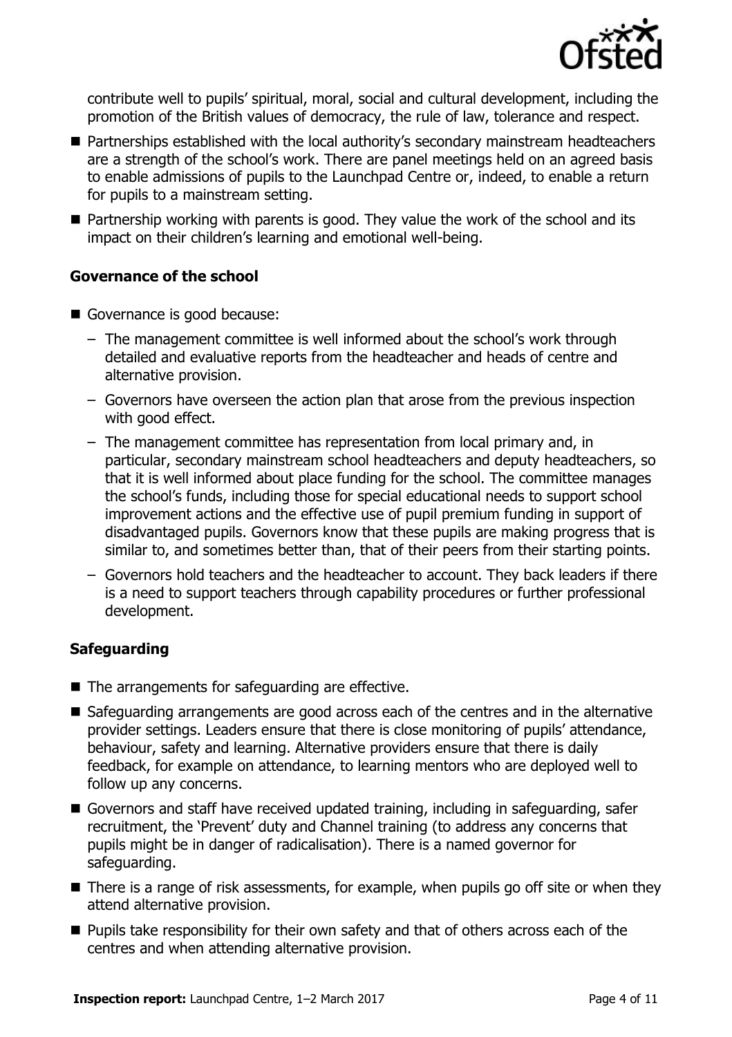

contribute well to pupils' spiritual, moral, social and cultural development, including the promotion of the British values of democracy, the rule of law, tolerance and respect.

- Partnerships established with the local authority's secondary mainstream headteachers are a strength of the school's work. There are panel meetings held on an agreed basis to enable admissions of pupils to the Launchpad Centre or, indeed, to enable a return for pupils to a mainstream setting.
- Partnership working with parents is good. They value the work of the school and its impact on their children's learning and emotional well-being.

## **Governance of the school**

- Governance is good because:
	- The management committee is well informed about the school's work through detailed and evaluative reports from the headteacher and heads of centre and alternative provision.
	- Governors have overseen the action plan that arose from the previous inspection with good effect.
	- The management committee has representation from local primary and, in particular, secondary mainstream school headteachers and deputy headteachers, so that it is well informed about place funding for the school. The committee manages the school's funds, including those for special educational needs to support school improvement actions and the effective use of pupil premium funding in support of disadvantaged pupils. Governors know that these pupils are making progress that is similar to, and sometimes better than, that of their peers from their starting points.
	- Governors hold teachers and the headteacher to account. They back leaders if there is a need to support teachers through capability procedures or further professional development.

## **Safeguarding**

- The arrangements for safeguarding are effective.
- Safeguarding arrangements are good across each of the centres and in the alternative provider settings. Leaders ensure that there is close monitoring of pupils' attendance, behaviour, safety and learning. Alternative providers ensure that there is daily feedback, for example on attendance, to learning mentors who are deployed well to follow up any concerns.
- Governors and staff have received updated training, including in safeguarding, safer recruitment, the 'Prevent' duty and Channel training (to address any concerns that pupils might be in danger of radicalisation). There is a named governor for safeguarding.
- There is a range of risk assessments, for example, when pupils go off site or when they attend alternative provision.
- **Pupils take responsibility for their own safety and that of others across each of the** centres and when attending alternative provision.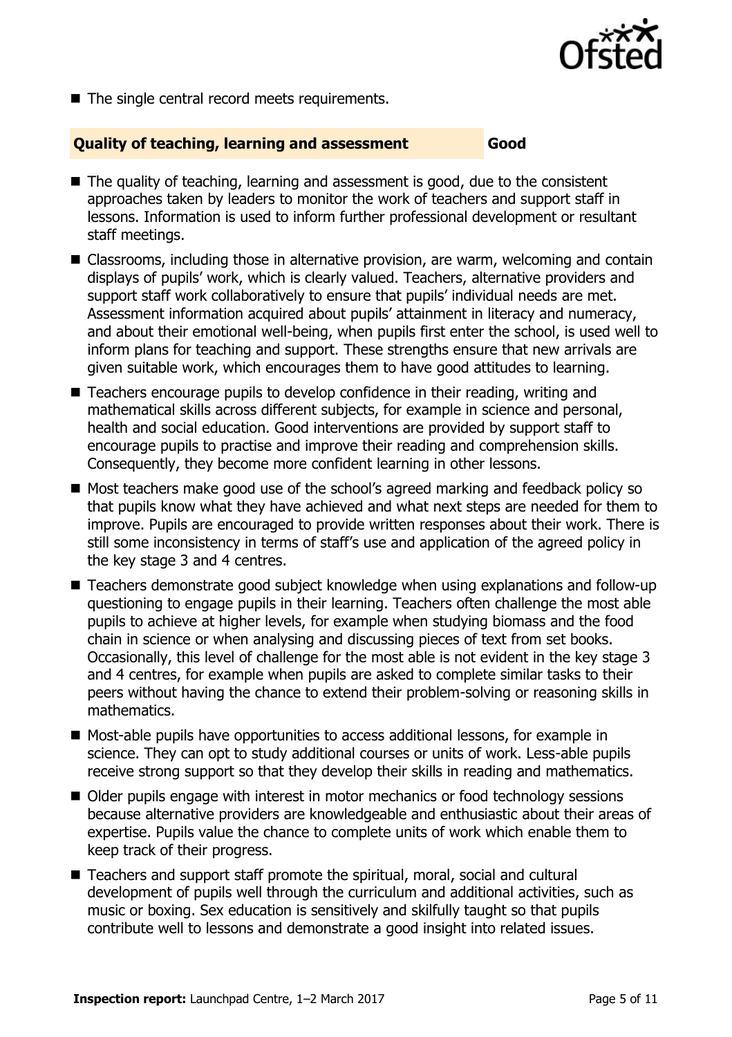

 $\blacksquare$  The single central record meets requirements.

## **Quality of teaching, learning and assessment Good**

- $\blacksquare$  The quality of teaching, learning and assessment is good, due to the consistent approaches taken by leaders to monitor the work of teachers and support staff in lessons. Information is used to inform further professional development or resultant staff meetings.
- Classrooms, including those in alternative provision, are warm, welcoming and contain displays of pupils' work, which is clearly valued. Teachers, alternative providers and support staff work collaboratively to ensure that pupils' individual needs are met. Assessment information acquired about pupils' attainment in literacy and numeracy, and about their emotional well-being, when pupils first enter the school, is used well to inform plans for teaching and support. These strengths ensure that new arrivals are given suitable work, which encourages them to have good attitudes to learning.
- Teachers encourage pupils to develop confidence in their reading, writing and mathematical skills across different subjects, for example in science and personal, health and social education. Good interventions are provided by support staff to encourage pupils to practise and improve their reading and comprehension skills. Consequently, they become more confident learning in other lessons.
- Most teachers make good use of the school's agreed marking and feedback policy so that pupils know what they have achieved and what next steps are needed for them to improve. Pupils are encouraged to provide written responses about their work. There is still some inconsistency in terms of staff's use and application of the agreed policy in the key stage 3 and 4 centres.
- Teachers demonstrate good subject knowledge when using explanations and follow-up questioning to engage pupils in their learning. Teachers often challenge the most able pupils to achieve at higher levels, for example when studying biomass and the food chain in science or when analysing and discussing pieces of text from set books. Occasionally, this level of challenge for the most able is not evident in the key stage 3 and 4 centres, for example when pupils are asked to complete similar tasks to their peers without having the chance to extend their problem-solving or reasoning skills in mathematics.
- Most-able pupils have opportunities to access additional lessons, for example in science. They can opt to study additional courses or units of work. Less-able pupils receive strong support so that they develop their skills in reading and mathematics.
- Older pupils engage with interest in motor mechanics or food technology sessions because alternative providers are knowledgeable and enthusiastic about their areas of expertise. Pupils value the chance to complete units of work which enable them to keep track of their progress.
- Teachers and support staff promote the spiritual, moral, social and cultural development of pupils well through the curriculum and additional activities, such as music or boxing. Sex education is sensitively and skilfully taught so that pupils contribute well to lessons and demonstrate a good insight into related issues.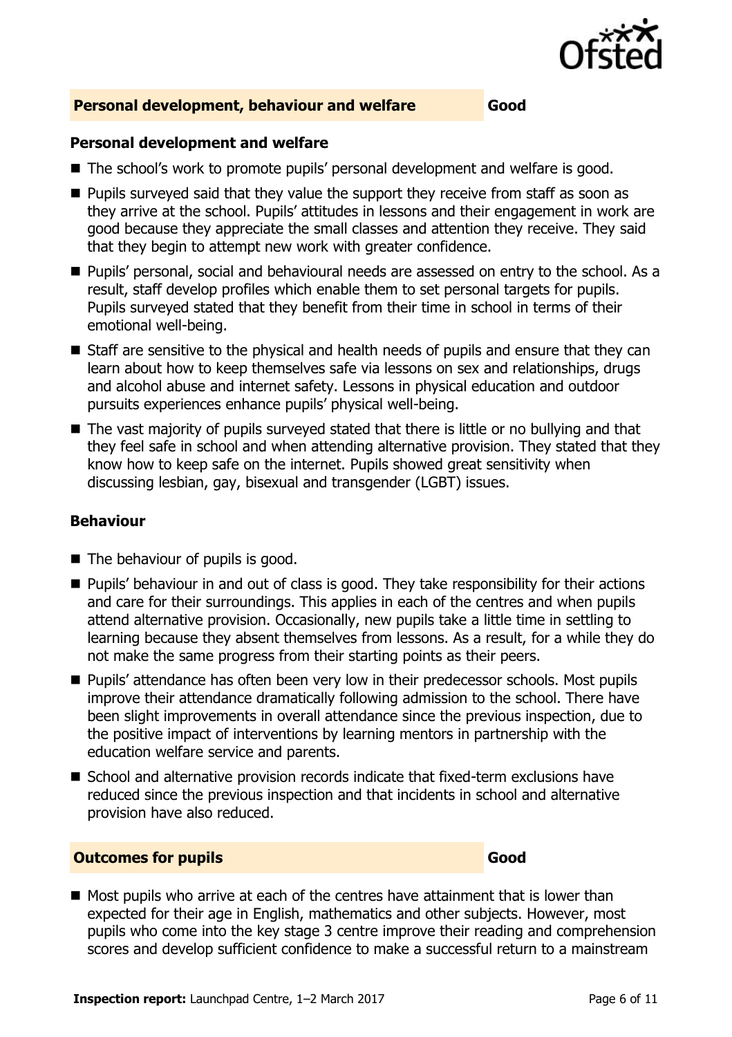

#### **Personal development, behaviour and welfare Good**

#### **Personal development and welfare**

- The school's work to promote pupils' personal development and welfare is good.
- **Pupils surveyed said that they value the support they receive from staff as soon as** they arrive at the school. Pupils' attitudes in lessons and their engagement in work are good because they appreciate the small classes and attention they receive. They said that they begin to attempt new work with greater confidence.
- **Pupils' personal, social and behavioural needs are assessed on entry to the school. As a** result, staff develop profiles which enable them to set personal targets for pupils. Pupils surveyed stated that they benefit from their time in school in terms of their emotional well-being.
- Staff are sensitive to the physical and health needs of pupils and ensure that they can learn about how to keep themselves safe via lessons on sex and relationships, drugs and alcohol abuse and internet safety. Lessons in physical education and outdoor pursuits experiences enhance pupils' physical well-being.
- The vast majority of pupils surveyed stated that there is little or no bullying and that they feel safe in school and when attending alternative provision. They stated that they know how to keep safe on the internet. Pupils showed great sensitivity when discussing lesbian, gay, bisexual and transgender (LGBT) issues.

## **Behaviour**

- The behaviour of pupils is good.
- **Pupils' behaviour in and out of class is good. They take responsibility for their actions** and care for their surroundings. This applies in each of the centres and when pupils attend alternative provision. Occasionally, new pupils take a little time in settling to learning because they absent themselves from lessons. As a result, for a while they do not make the same progress from their starting points as their peers.
- **Pupils' attendance has often been very low in their predecessor schools. Most pupils** improve their attendance dramatically following admission to the school. There have been slight improvements in overall attendance since the previous inspection, due to the positive impact of interventions by learning mentors in partnership with the education welfare service and parents.
- School and alternative provision records indicate that fixed-term exclusions have reduced since the previous inspection and that incidents in school and alternative provision have also reduced.

#### **Outcomes for pupils Good**

 $\blacksquare$  Most pupils who arrive at each of the centres have attainment that is lower than expected for their age in English, mathematics and other subjects. However, most pupils who come into the key stage 3 centre improve their reading and comprehension scores and develop sufficient confidence to make a successful return to a mainstream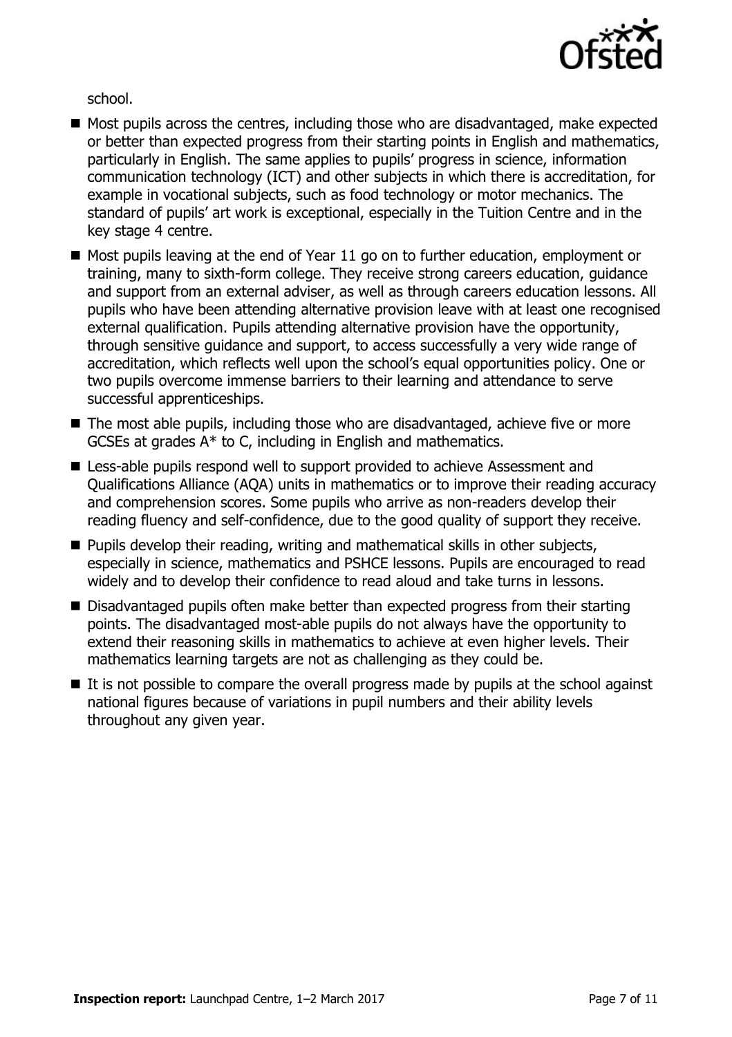

school.

- $\blacksquare$  Most pupils across the centres, including those who are disadvantaged, make expected or better than expected progress from their starting points in English and mathematics, particularly in English. The same applies to pupils' progress in science, information communication technology (ICT) and other subjects in which there is accreditation, for example in vocational subjects, such as food technology or motor mechanics. The standard of pupils' art work is exceptional, especially in the Tuition Centre and in the key stage 4 centre.
- Most pupils leaving at the end of Year 11 go on to further education, employment or training, many to sixth-form college. They receive strong careers education, guidance and support from an external adviser, as well as through careers education lessons. All pupils who have been attending alternative provision leave with at least one recognised external qualification. Pupils attending alternative provision have the opportunity, through sensitive guidance and support, to access successfully a very wide range of accreditation, which reflects well upon the school's equal opportunities policy. One or two pupils overcome immense barriers to their learning and attendance to serve successful apprenticeships.
- The most able pupils, including those who are disadvantaged, achieve five or more GCSEs at grades A\* to C, including in English and mathematics.
- Less-able pupils respond well to support provided to achieve Assessment and Qualifications Alliance (AQA) units in mathematics or to improve their reading accuracy and comprehension scores. Some pupils who arrive as non-readers develop their reading fluency and self-confidence, due to the good quality of support they receive.
- **Pupils develop their reading, writing and mathematical skills in other subjects,** especially in science, mathematics and PSHCE lessons. Pupils are encouraged to read widely and to develop their confidence to read aloud and take turns in lessons.
- Disadvantaged pupils often make better than expected progress from their starting points. The disadvantaged most-able pupils do not always have the opportunity to extend their reasoning skills in mathematics to achieve at even higher levels. Their mathematics learning targets are not as challenging as they could be.
- $\blacksquare$  It is not possible to compare the overall progress made by pupils at the school against national figures because of variations in pupil numbers and their ability levels throughout any given year.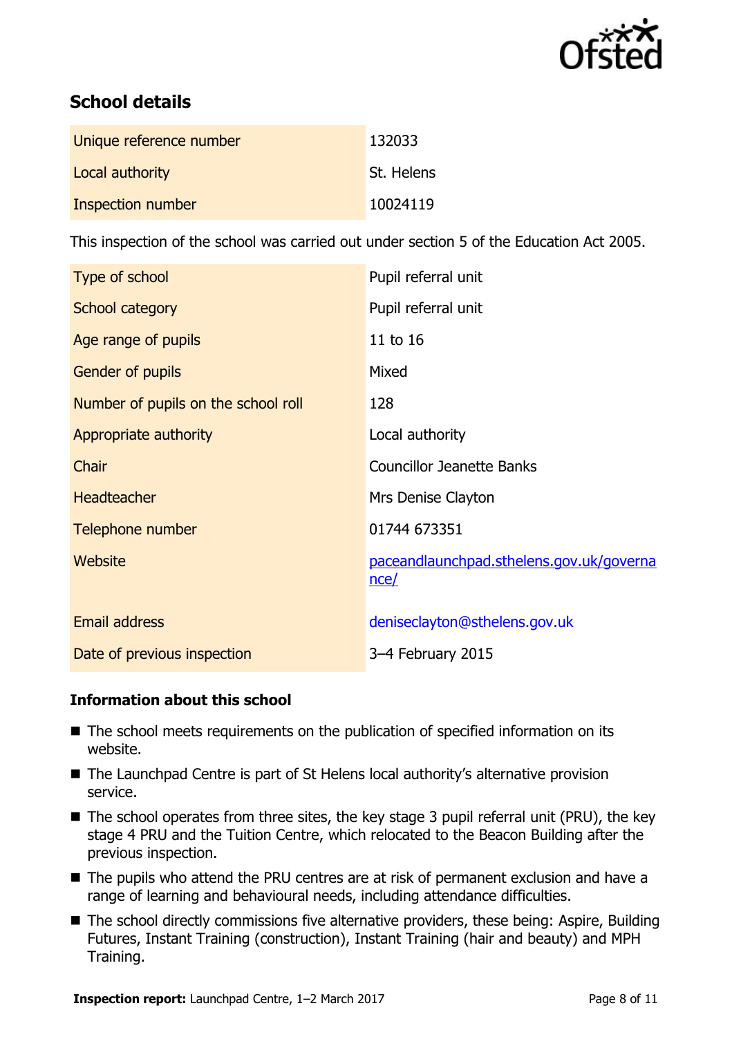

# **School details**

| Unique reference number | 132033     |
|-------------------------|------------|
| Local authority         | St. Helens |
| Inspection number       | 10024119   |

This inspection of the school was carried out under section 5 of the Education Act 2005.

| Type of school                      | Pupil referral unit                              |
|-------------------------------------|--------------------------------------------------|
| School category                     | Pupil referral unit                              |
| Age range of pupils                 | 11 to 16                                         |
| Gender of pupils                    | Mixed                                            |
| Number of pupils on the school roll | 128                                              |
| Appropriate authority               | Local authority                                  |
| Chair                               | <b>Councillor Jeanette Banks</b>                 |
| <b>Headteacher</b>                  | Mrs Denise Clayton                               |
| Telephone number                    | 01744 673351                                     |
| Website                             | paceandlaunchpad.sthelens.gov.uk/governa<br>nce/ |
| <b>Email address</b>                | deniseclayton@sthelens.gov.uk                    |
| Date of previous inspection         | 3-4 February 2015                                |

## **Information about this school**

- The school meets requirements on the publication of specified information on its website.
- The Launchpad Centre is part of St Helens local authority's alternative provision service.
- The school operates from three sites, the key stage 3 pupil referral unit (PRU), the key stage 4 PRU and the Tuition Centre, which relocated to the Beacon Building after the previous inspection.
- The pupils who attend the PRU centres are at risk of permanent exclusion and have a range of learning and behavioural needs, including attendance difficulties.
- The school directly commissions five alternative providers, these being: Aspire, Building Futures, Instant Training (construction), Instant Training (hair and beauty) and MPH Training.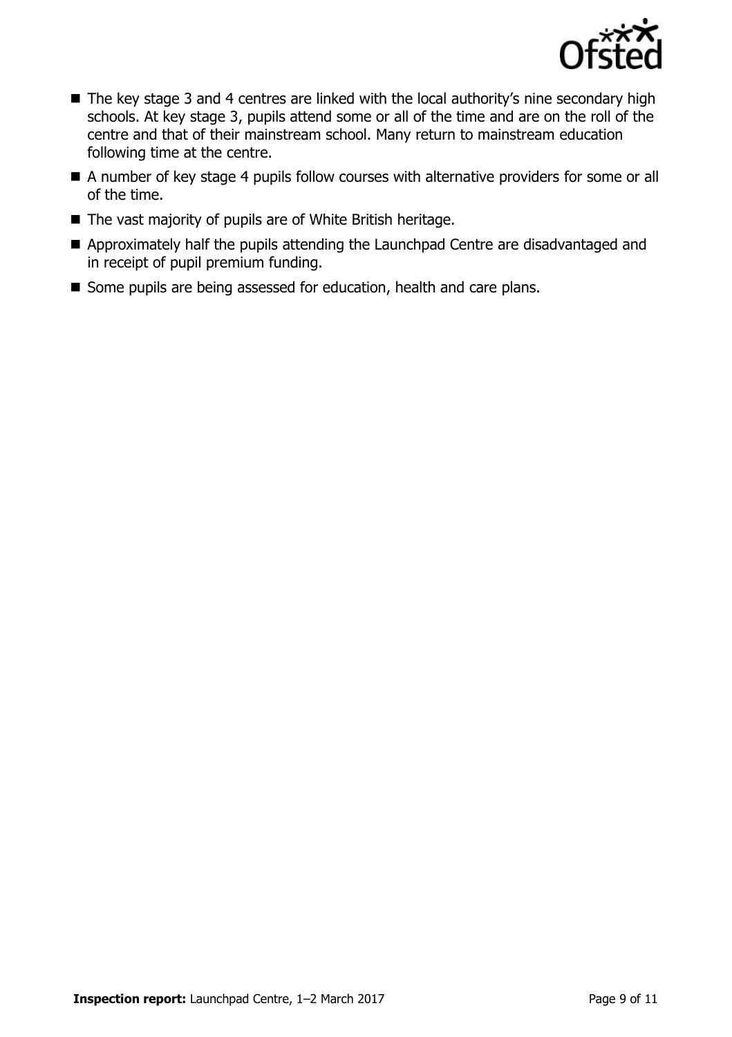

- The key stage 3 and 4 centres are linked with the local authority's nine secondary high schools. At key stage 3, pupils attend some or all of the time and are on the roll of the centre and that of their mainstream school. Many return to mainstream education following time at the centre.
- A number of key stage 4 pupils follow courses with alternative providers for some or all of the time.
- The vast majority of pupils are of White British heritage.
- Approximately half the pupils attending the Launchpad Centre are disadvantaged and in receipt of pupil premium funding.
- Some pupils are being assessed for education, health and care plans.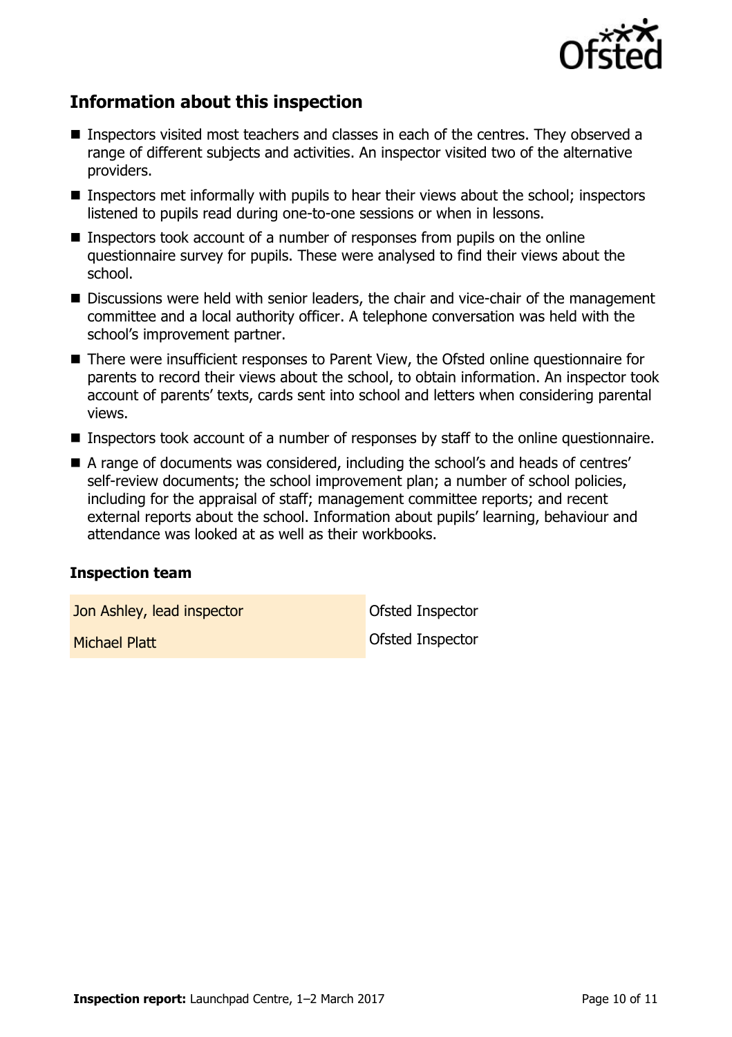

# **Information about this inspection**

- Inspectors visited most teachers and classes in each of the centres. They observed a range of different subjects and activities. An inspector visited two of the alternative providers.
- **Inspectors met informally with pupils to hear their views about the school; inspectors** listened to pupils read during one-to-one sessions or when in lessons.
- **Inspectors took account of a number of responses from pupils on the online** questionnaire survey for pupils. These were analysed to find their views about the school.
- Discussions were held with senior leaders, the chair and vice-chair of the management committee and a local authority officer. A telephone conversation was held with the school's improvement partner.
- There were insufficient responses to Parent View, the Ofsted online questionnaire for parents to record their views about the school, to obtain information. An inspector took account of parents' texts, cards sent into school and letters when considering parental views.
- Inspectors took account of a number of responses by staff to the online questionnaire.
- A range of documents was considered, including the school's and heads of centres' self-review documents; the school improvement plan; a number of school policies, including for the appraisal of staff; management committee reports; and recent external reports about the school. Information about pupils' learning, behaviour and attendance was looked at as well as their workbooks.

#### **Inspection team**

Jon Ashley, lead inspector **Department Constructs** Ofsted Inspector

**Michael Platt Michael Platt Ofsted Inspector**